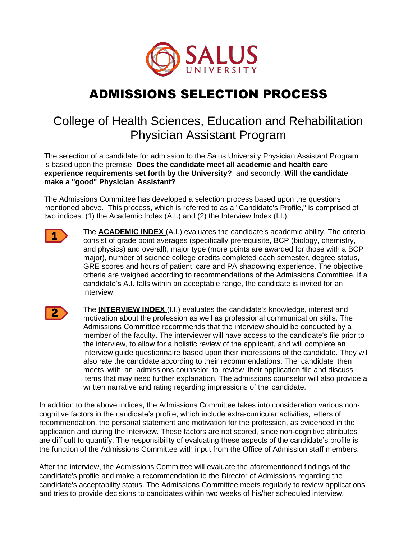

## ADMISSIONS SELECTION PROCESS

## College of Health Sciences, Education and Rehabilitation Physician Assistant Program

The selection of a candidate for admission to the Salus University Physician Assistant Program is based upon the premise, **Does the candidate meet all academic and health care experience requirements set forth by the University?**; and secondly, **Will the candidate make a "good" Physician Assistant?**

The Admissions Committee has developed a selection process based upon the questions mentioned above. This process, which is referred to as a "Candidate's Profile," is comprised of two indices: (1) the Academic Index (A.I.) and (2) the Interview Index (I.I.).



The **ACADEMIC INDEX** (A.I.) evaluates the candidate's academic ability. The criteria consist of grade point averages (specifically prerequisite, BCP (biology, chemistry, and physics) and overall), major type (more points are awarded for those with a BCP major), number of science college credits completed each semester, degree status, GRE scores and hours of patient care and PA shadowing experience. The objective criteria are weighed according to recommendations of the Admissions Committee. If a candidate's A.I. falls within an acceptable range, the candidate is invited for an interview.



The **INTERVIEW INDEX** (I.I.) evaluates the candidate's knowledge, interest and motivation about the profession as well as professional communication skills. The Admissions Committee recommends that the interview should be conducted by a member of the faculty. The interviewer will have access to the candidate's file prior to the interview, to allow for a holistic review of the applicant, and will complete an interview guide questionnaire based upon their impressions of the candidate. They will also rate the candidate according to their recommendations. The candidate then meets with an admissions counselor to review their application file and discuss items that may need further explanation. The admissions counselor will also provide a written narrative and rating regarding impressions of the candidate.

In addition to the above indices, the Admissions Committee takes into consideration various noncognitive factors in the candidate's profile, which include extra-curricular activities, letters of recommendation, the personal statement and motivation for the profession, as evidenced in the application and during the interview. These factors are not scored, since non-cognitive attributes are difficult to quantify. The responsibility of evaluating these aspects of the candidate's profile is the function of the Admissions Committee with input from the Office of Admission staff members.

After the interview, the Admissions Committee will evaluate the aforementioned findings of the candidate's profile and make a recommendation to the Director of Admissions regarding the candidate's acceptability status. The Admissions Committee meets regularly to review applications and tries to provide decisions to candidates within two weeks of his/her scheduled interview.